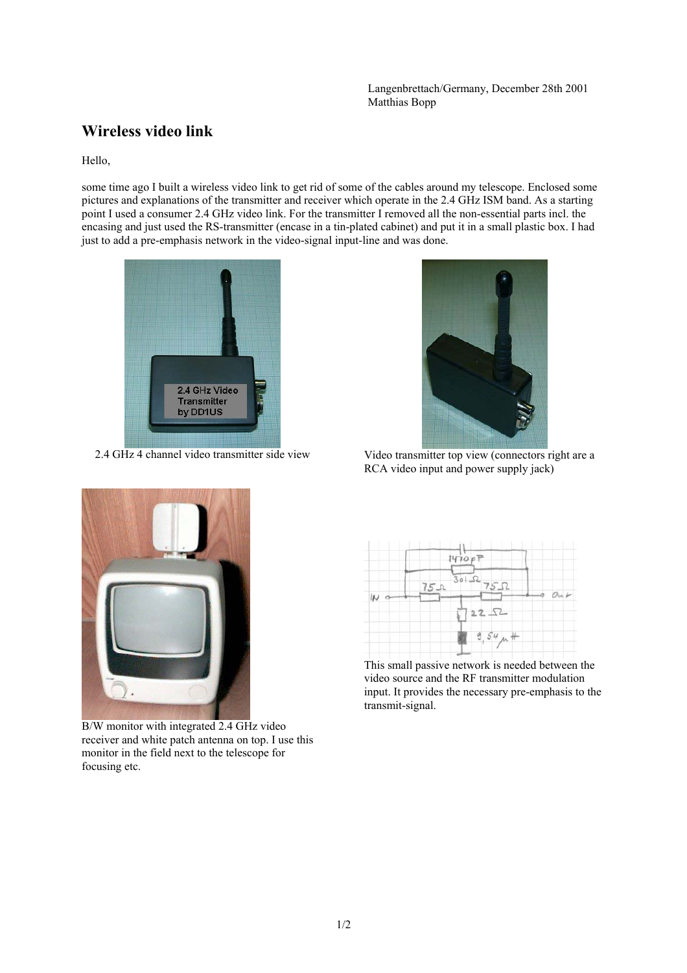Langenbrettach/Germany, December 28th 2001 Matthias Bopp

## **Wireless video link**

Hello,

some time ago I built a wireless video link to get rid of some of the cables around my telescope. Enclosed some pictures and explanations of the transmitter and receiver which operate in the 2.4 GHz ISM band. As a starting point I used a consumer 2.4 GHz video link. For the transmitter I removed all the non-essential parts incl. the encasing and just used the RS-transmitter (encase in a tin-plated cabinet) and put it in a small plastic box. I had just to add a pre-emphasis network in the video-signal input-line and was done.





2.4 GHz 4 channel video transmitter side view Video transmitter top view (connectors right are a RCA video input and power supply jack)



B/W monitor with integrated 2.4 GHz video receiver and white patch antenna on top. I use this monitor in the field next to the telescope for focusing etc.



This small passive network is needed between the video source and the RF transmitter modulation input. It provides the necessary pre-emphasis to the transmit-signal.